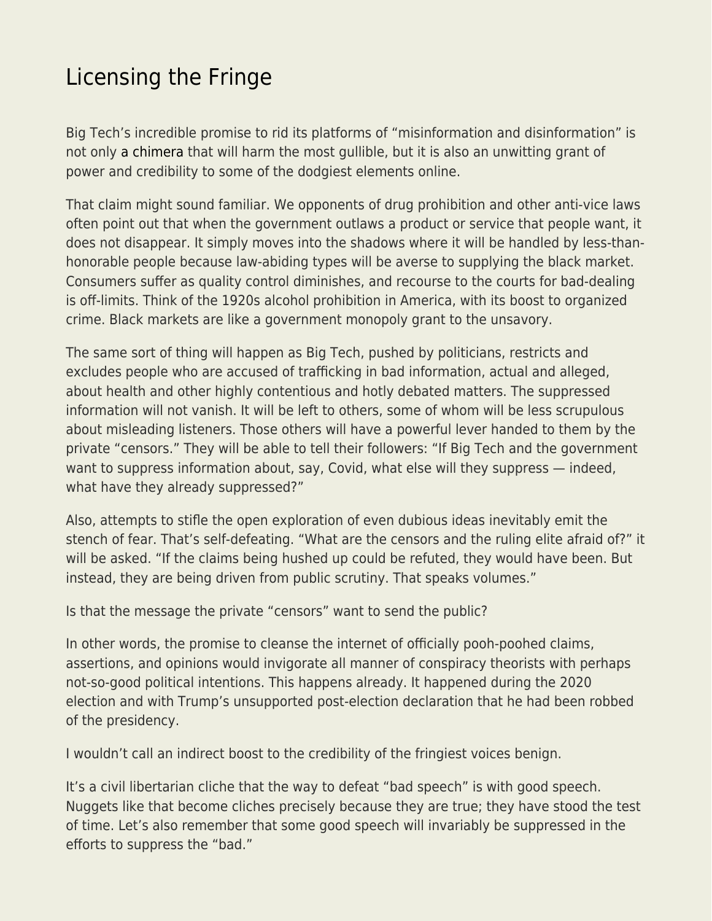## [Licensing the Fringe](https://everything-voluntary.com/licensing-the-fringe)

Big Tech's incredible promise to rid its platforms of "misinformation and disinformation" is not only [a chimera](https://libertarianinstitute.org/articles/will/tgif-more-voices-please/) that will harm the most gullible, but it is also an unwitting grant of power and credibility to some of the dodgiest elements online.

That claim might sound familiar. We opponents of drug prohibition and other anti-vice laws often point out that when the government outlaws a product or service that people want, it does not disappear. It simply moves into the shadows where it will be handled by less-thanhonorable people because law-abiding types will be averse to supplying the black market. Consumers suffer as quality control diminishes, and recourse to the courts for bad-dealing is off-limits. Think of the 1920s alcohol prohibition in America, with its boost to organized crime. Black markets are like a government monopoly grant to the unsavory.

The same sort of thing will happen as Big Tech, pushed by politicians, restricts and excludes people who are accused of trafficking in bad information, actual and alleged, about health and other highly contentious and hotly debated matters. The suppressed information will not vanish. It will be left to others, some of whom will be less scrupulous about misleading listeners. Those others will have a powerful lever handed to them by the private "censors." They will be able to tell their followers: "If Big Tech and the government want to suppress information about, say, Covid, what else will they suppress — indeed, what have they already suppressed?"

Also, attempts to stifle the open exploration of even dubious ideas inevitably emit the stench of fear. That's self-defeating. "What are the censors and the ruling elite afraid of?" it will be asked. "If the claims being hushed up could be refuted, they would have been. But instead, they are being driven from public scrutiny. That speaks volumes."

Is that the message the private "censors" want to send the public?

In other words, the promise to cleanse the internet of officially pooh-poohed claims, assertions, and opinions would invigorate all manner of conspiracy theorists with perhaps not-so-good political intentions. This happens already. It happened during the 2020 election and with Trump's unsupported post-election declaration that he had been robbed of the presidency.

I wouldn't call an indirect boost to the credibility of the fringiest voices benign.

It's a civil libertarian cliche that the way to defeat "bad speech" is with good speech. Nuggets like that become cliches precisely because they are true; they have stood the test of time. Let's also remember that some good speech will invariably be suppressed in the efforts to suppress the "bad."